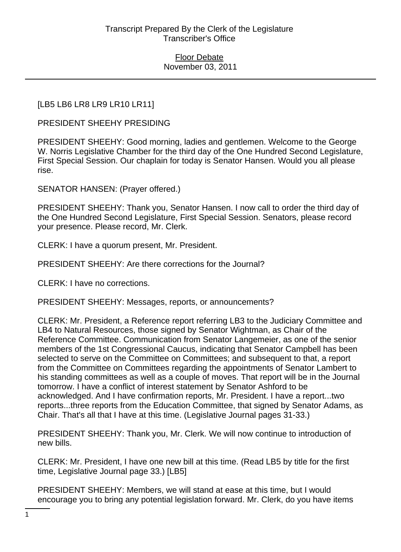Floor Debate November 03, 2011

## [LB5 LB6 LR8 LR9 LR10 LR11]

PRESIDENT SHEEHY PRESIDING

PRESIDENT SHEEHY: Good morning, ladies and gentlemen. Welcome to the George W. Norris Legislative Chamber for the third day of the One Hundred Second Legislature, First Special Session. Our chaplain for today is Senator Hansen. Would you all please rise.

SENATOR HANSEN: (Prayer offered.)

PRESIDENT SHEEHY: Thank you, Senator Hansen. I now call to order the third day of the One Hundred Second Legislature, First Special Session. Senators, please record your presence. Please record, Mr. Clerk.

CLERK: I have a quorum present, Mr. President.

PRESIDENT SHEEHY: Are there corrections for the Journal?

CLERK: I have no corrections.

PRESIDENT SHEEHY: Messages, reports, or announcements?

CLERK: Mr. President, a Reference report referring LB3 to the Judiciary Committee and LB4 to Natural Resources, those signed by Senator Wightman, as Chair of the Reference Committee. Communication from Senator Langemeier, as one of the senior members of the 1st Congressional Caucus, indicating that Senator Campbell has been selected to serve on the Committee on Committees; and subsequent to that, a report from the Committee on Committees regarding the appointments of Senator Lambert to his standing committees as well as a couple of moves. That report will be in the Journal tomorrow. I have a conflict of interest statement by Senator Ashford to be acknowledged. And I have confirmation reports, Mr. President. I have a report...two reports...three reports from the Education Committee, that signed by Senator Adams, as Chair. That's all that I have at this time. (Legislative Journal pages 31-33.)

PRESIDENT SHEEHY: Thank you, Mr. Clerk. We will now continue to introduction of new bills.

CLERK: Mr. President, I have one new bill at this time. (Read LB5 by title for the first time, Legislative Journal page 33.) [LB5]

PRESIDENT SHEEHY: Members, we will stand at ease at this time, but I would encourage you to bring any potential legislation forward. Mr. Clerk, do you have items